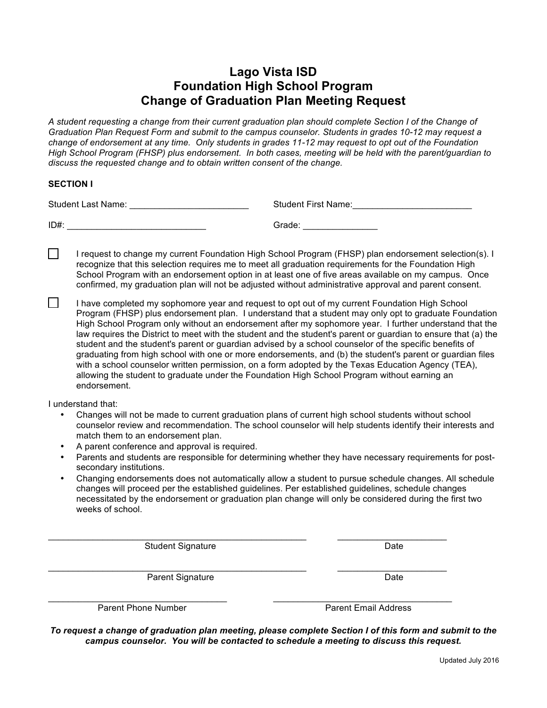## **Lago Vista ISD Foundation High School Program Change of Graduation Plan Meeting Request**

*A student requesting a change from their current graduation plan should complete Section I of the Change of Graduation Plan Request Form and submit to the campus counselor. Students in grades 10-12 may request a change of endorsement at any time. Only students in grades 11-12 may request to opt out of the Foundation High School Program (FHSP) plus endorsement. In both cases, meeting will be held with the parent/guardian to discuss the requested change and to obtain written consent of the change.*

## **SECTION I**

 $\mathsf{L}$ 

| <b>Student Last Name:</b> | <b>Student First Name:</b> |
|---------------------------|----------------------------|
| ID#                       | Grade:                     |

 $\Box$ I request to change my current Foundation High School Program (FHSP) plan endorsement selection(s). I recognize that this selection requires me to meet all graduation requirements for the Foundation High School Program with an endorsement option in at least one of five areas available on my campus. Once confirmed, my graduation plan will not be adjusted without administrative approval and parent consent.

I have completed my sophomore year and request to opt out of my current Foundation High School Program (FHSP) plus endorsement plan. I understand that a student may only opt to graduate Foundation High School Program only without an endorsement after my sophomore year. I further understand that the law requires the District to meet with the student and the student's parent or guardian to ensure that (a) the student and the student's parent or guardian advised by a school counselor of the specific benefits of graduating from high school with one or more endorsements, and (b) the student's parent or guardian files with a school counselor written permission, on a form adopted by the Texas Education Agency (TEA), allowing the student to graduate under the Foundation High School Program without earning an endorsement.

I understand that:

- Changes will not be made to current graduation plans of current high school students without school counselor review and recommendation. The school counselor will help students identify their interests and match them to an endorsement plan.
- A parent conference and approval is required.
- Parents and students are responsible for determining whether they have necessary requirements for postsecondary institutions.
- Changing endorsements does not automatically allow a student to pursue schedule changes. All schedule changes will proceed per the established guidelines. Per established guidelines, schedule changes necessitated by the endorsement or graduation plan change will only be considered during the first two weeks of school.

 $\mathcal{L}_\text{max}$  , and the set of the set of the set of the set of the set of the set of the set of the set of the set of the set of the set of the set of the set of the set of the set of the set of the set of the set of the

Student Signature Date

 $\mathcal{L}_\text{max}$  , and the set of the set of the set of the set of the set of the set of the set of the set of the set of the set of the set of the set of the set of the set of the set of the set of the set of the set of the Parent Signature Date

Parent Phone Number **Parent Email Address** 

 $\bot$  , and the state of the state of the state of the state of the state of the state of the state of the state of the state of the state of the state of the state of the state of the state of the state of the state of th

*To request a change of graduation plan meeting, please complete Section I of this form and submit to the campus counselor. You will be contacted to schedule a meeting to discuss this request.*